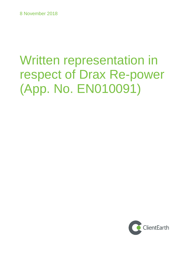# Written representation in respect of Drax Re-power (App. No. EN010091)

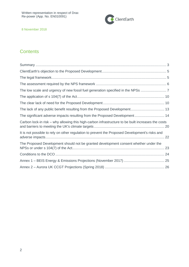

# **Contents**

| The lack of any public benefit resulting from the Proposed Development 13                          |  |
|----------------------------------------------------------------------------------------------------|--|
| The significant adverse impacts resulting from the Proposed Development 14                         |  |
| Carbon lock-in risk – why allowing this high-carbon infrastructure to be built increases the costs |  |
| It is not possible to rely on other regulation to prevent the Proposed Development's risks and     |  |
| The Proposed Development should not be granted development consent whether under the               |  |
|                                                                                                    |  |
|                                                                                                    |  |
|                                                                                                    |  |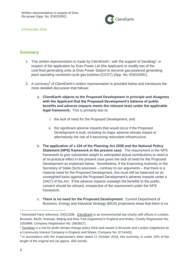

## <span id="page-2-0"></span>**Summary**

- 1. This written representation is made by ClientEarth<sup>1</sup>, with the support of Sandbag<sup>2</sup>, in respect of the application by Drax Power Ltd (the Applicant) to modify two of the coal-fired generating units at Drax Power Station to become gas-powered generating plant operating combined cycle gas turbines (CCGT) (App. No. EN010091).
- 2. A summary<sup>3</sup> of ClientEarth's written representation is provided below and introduces the more detailed discussion that follows:
	- a. **ClientEarth objects to the Proposed Development in principle and disagrees with the Applicant that the Proposed Development's balance of public benefits and adverse impacts meets the relevant tests under the applicable legal framework:** This is primarily due to:
		- i. the lack of need for the Proposed Development, and
		- ii. the significant adverse impacts that would occur if the Proposed Development is built, including its major adverse climate impact or alternatively the risk of it becoming redundant infrastructure.
	- b. **The application of s 104 of the Planning Act 2008 and the National Policy Statement (NPS) framework in the present case:** The requirement in the NPS framework to give substantial weight to anticipated actual contributions to need is of no practical effect in the present case given the lack of need for the Proposed Development as explained below. Nonetheless, if the Examining Authority or the Secretary of State (SoS) assesses – contrary to our arguments – that there is a material need for the Proposed Development, this must still be balanced on an unweighted basis against the Proposed Development's adverse impacts under s 104(7) of the Act. If the adverse impacts outweigh the benefits to the public, consent should be refused, irrespective of the assessment under the NPS framework.
	- c. **There is no need for the Proposed Development:** Current Department of Business, Energy and Industrial Strategy (BEIS) projections show that there is no

<sup>&</sup>lt;sup>1</sup> Interested Party reference: 20011838. [ClientEarth](https://www.clientearth.org/) is an environmental law charity with offices in London, Brussels, Berlin, Warsaw, Beijing and New York (registered in England and Wales, Charity Registration No. 1053988. Company Registration No. 2863827).

<sup>&</sup>lt;sup>2</sup> [Sandbag](https://sandbag.org.uk/) is a not-for-profit climate change policy think tank based in Brussels and London (registered as a Community Interest Company in England and Wales: Company No. 6714443).

<sup>&</sup>lt;sup>3</sup> In accordance with the Inspectorate's letter dated 11 October 2018, this summary is under 10% of the length of the original text (at approx. 650 words).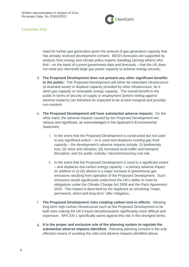

need for further gas generation given the amount of gas generation capacity that has already received development consent. BEIS's forecasts are supported by analysis from energy and climate policy experts Sandbag (among others) who find – on the basis of current government data and forecasts – that the UK does not need *any* new-build large gas power capacity to achieve energy security.

- d. **The Proposed Development does not present any other significant benefits to the public:** The Proposed Development will either be redundant infrastructure (a stranded asset) or displace capacity provided by other infrastructure, be it other gas capacity or renewable energy capacity. The overall benefit to the public in terms of security of supply or employment (*before netting against adverse impacts*) can therefore be expected to be at best marginal and possibly non-existent.
- e. **The Proposed Development will have substantial adverse impacts:** On the other hand, the adverse impacts caused by the Proposed Development are various and significant, as acknowledged in the Applicant's Environmental Statement.
	- i. In the event that the Proposed Development is constructed but *not used* to any significant extent – or is used and *displaces existing gas fired capacity* – the development's adverse impacts include: (i) biodiversity loss; (ii) noise and vibration; (iii) increased local traffic and transport disruption; and (iv) public subsidy / decommissioning cost risk.
	- ii. In the event that the Proposed Development *is used* to a significant extent – and *displaces low-carbon energy capacity* – a primary adverse impact (in addition to (i)-(iii) above) is a major increase in greenhouse gas emissions resulting from operation of the Proposed Development. Such emissions would significantly undermine the UK's ability to meet its obligations under the Climate Change Act 2008 and the Paris Agreement 2015. This impact is described by the Applicant as remaining "major, permanent, direct and long term" after mitigation.
- f. **The Proposed Development risks creating carbon lock-in effects:** Allowing long-term high-carbon infrastructure such as the Proposed Development to be built risks making the UK's future decarbonisation significantly more difficult and expensive. NPS EN-1 specifically warns against this risk in the strongest terms.
- g. **It is the proper and exclusive role of the planning system to regulate the substantial adverse impacts identified:** Refusing planning consent is the only effective means of avoiding the risks and adverse impacts identified above.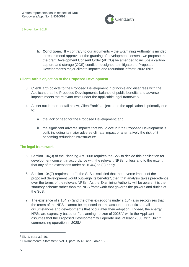

h. **Conditions:** If – contrary to our arguments – the Examining Authority is minded to recommend approval of the granting of development consent, we propose that the draft Development Consent Order (dDCO) be amended to include a carbon capture and storage (CCS) condition designed to mitigate the Proposed Development's major climate impacts and redundant infrastructure risks.

#### <span id="page-4-0"></span>**ClientEarth's objection to the Proposed Development**

- 3. ClientEarth objects to the Proposed Development in principle and disagrees with the Applicant that the Proposed Development's balance of public benefits and adverse impacts meets the relevant tests under the applicable legal framework.
- 4. As set out in more detail below, ClientEarth's objection to the application is primarily due to:
	- a. the lack of need for the Proposed Development; and
	- b. the significant adverse impacts that would occur if the Proposed Development is built, including its major adverse climate impact or alternatively the risk of it becoming redundant infrastructure.

#### <span id="page-4-1"></span>**The legal framework**

- 5. Section 104(3) of the Planning Act 2008 requires the SoS to decide this application for development consent in accordance with the relevant NPSs, unless and to the extent that any of the exceptions under ss 104(4) to (8) apply.
- 6. Section 104(7) requires that "if the SoS is satisfied that the adverse impact of the proposed development would outweigh its benefits", then that analysis takes precedence over the terms of the relevant NPSs. As the Examining Authority will be aware, it is the statutory scheme rather than the NPS framework that governs the powers and duties of the SoS.
- 7. The existence of s 104(7) (and the other exceptions under s 104) also recognises that the terms of the NPSs cannot be expected to take account of or anticipate all circumstances and developments that occur after their adoption. Indeed, the energy NPSs are expressly based on "a planning horizon of 2025", <sup>4</sup> while the Applicant assumes that the Proposed Development will operate until at least 2050, with Unit Y commencing operation in 2028. 5

<sup>4</sup> EN-1, para 3.3.16.

<sup>5</sup> Environmental Statement, Vol. 1, para 15.4.5 and Table 15-3.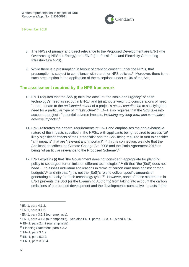

- 8. The NPSs of primary and direct relevance to the Proposed Development are EN-1 (the Overarching NPS for Energy) and EN-2 (the Fossil Fuel and Electricity Generating Infrastructure NPS).
- 9. While there is a presumption in favour of granting consent under the NPSs, that presumption is subject to compliance with the other NPS policies.<sup>6</sup> Moreover, there is no such presumption in the application of the exceptions under s 104 of the Act.

## <span id="page-5-0"></span>**The assessment required by the NPS framework**

- 10. EN-1 requires that the SoS (i) take into account "the scale and urgency" of each technology's need as set out in  $EN-1$ ,<sup>7</sup> and (ii) attribute weight to considerations of need "proportionate to the *anticipated extent* of a project's *actual contribution* to satisfying the need for a particular type of infrastructure". <sup>8</sup> EN-1 also requires that the SoS take into account a project's "potential adverse impacts, *including any long-term and cumulative adverse impacts*".<sup>9</sup>
- 11. EN-2 reiterates the general requirements of EN-1 and emphasises the non-exhaustive nature of the impacts specified in the NPSs, with applicants being required to assess "*all* likely significant effects of their proposals" and the SoS being required in turn to consider "any impacts" that are "relevant and important".<sup>10</sup> In this connection, we note that the Applicant describes the Climate Change Act 2008 and the Paris Agreement 2015 as being "of particular relevance to the Proposed Scheme".<sup>11</sup>
- 12. EN-1 explains (i) that "the Government does not consider it appropriate for planning policy to set targets for or limits on different technologies",<sup>12</sup> (ii) that "the [SoS] does not need … to assess individual applications in terms of carbon emissions against carbon budgets", <sup>13</sup> and (iii) that "[i]t is not the [SoS]'s role to deliver specific amounts of generating capacity for each technology type."<sup>14</sup> However, none of these statements in EN-1 prevents the SoS (or the Examining Authority) from taking into account the carbon emissions of a proposed development and the development's cumulative impacts in the

<sup>6</sup> EN-1, para 4.1.2.

<sup>7</sup> EN-1, para 3.1.3.

<sup>8</sup> EN-1, para 3.2.3 (our emphasis).

<sup>9</sup> EN-1, para 4.1.3 (our emphasis). See also EN-1, paras 1.7.3, 4.2.5 and 4.2.6.

 $10$  EN-2, para 2.4.2 (our emphasis).

<sup>11</sup> Planning Statement, para 4.3.2.

<sup>12</sup> EN-1, para 3.1.2.

<sup>13</sup> EN-1, para 5.2.2.

<sup>14</sup> EN-1, para 3.3.24.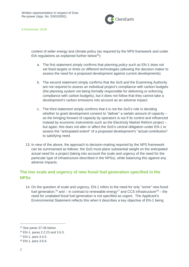

context of wider energy and climate policy (as required by the NPS framework and under EIA regulations as explained further below<sup>15</sup>):

- a. The first statement simply confirms that planning *policy* such as EN-1 does not set fixed targets or limits on different technologies (allowing the decision maker to assess the need for a proposed development against current developments).
- b. The second statement simply confirms that the SoS and the Examining Authority are not *required* to assess an individual project's compliance with carbon budgets (the planning system not being formally responsible for delivering or enforcing compliance with carbon budgets), but it does not follow that they cannot take a development's carbon emissions into account as an adverse impact.
- c. The third statement simply confirms that it is not the SoS's role in deciding whether to grant development consent to "deliver" a certain amount of capacity – as the bringing forward of capacity by operators is out if its control and influenced instead by economic instruments such as the Electricity Market Reform project – but again, this does not alter or affect the SoS's central obligation under EN-1 to assess the "anticipated extent" of a proposed development's "actual contribution" to satisfying need.
- 13. In view of the above, the approach to decision-making required by the NPS framework can be summarised as follows: the SoS must place substantial weight on the anticipated actual need for a project (taking into account the scale and urgency of the need for the particular type of infrastructure described in the NPSs), while balancing this against any adverse impacts.

# <span id="page-6-0"></span>**The low scale and urgency of new fossil fuel generation specified in the NPSs**

14. On the question of scale and urgency, EN-1 refers to the need for only "some" new fossil fuel generation,<sup>16</sup> and – in contrast to renewable energy<sup>17</sup> and CCS infrastructure<sup>18</sup> – the need for unabated fossil fuel generation is not specified as urgent. The Applicant's Environmental Statement reflects this when it describes a key objective of EN-1 being

<sup>15</sup> See paras 37-38 below.

<sup>16</sup> EN-1, paras 2.2.23 and 3.6.3.

<sup>17</sup> EN-1, para 3.4.5.

<sup>18</sup> EN-1, para 3.6.8.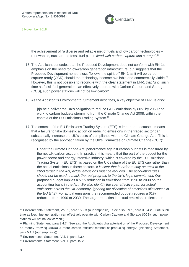

the achievement of "a diverse and reliable mix of fuels and low carbon technologies – renewables, nuclear and fossil fuel plants *fitted with carbon capture and storage*". 19

- 15. The Applicant concedes that the Proposed Development does not conform with EN-1's emphasis on the need for low-carbon generation infrastructure, but suggests that the Proposed Development nonetheless "follows the spirit of" EN-1 as it will be carbon capture ready (CCR) should the technology become available and commercially viable.<sup>20</sup> However, this is not possible to reconcile with the clear statement in EN-1 that "until such time as fossil fuel generation can effectively operate with Carbon Capture and Storage (CCS), such power stations will not be low carbon". 21
- 16. As the Applicant's Environmental Statement describes, a key objective of EN-1 is also:

[t]o help deliver the UK's obligation to reduce GHG emissions by 80% by 2050 and work to carbon budgets stemming from the Climate Change Act 2008, within the context of the EU Emissions Trading System.<sup>22</sup>

17. The context of the EU Emissions Trading System (ETS) is important because it means that a failure to take domestic action on reducing emissions in the traded sector can substantially increase the UK's costs of compliance with the Climate Change Act. This is recognised by the approach taken by the UK's Committee on Climate Change (CCC):

Under the Climate Change Act, performance against carbon budgets is measured by the net UK carbon account. In practice, this means that the part of the budget for the power sector and energy-intensive industry, which is covered by the EU Emissions Trading System (EU ETS), is based on the UK's share of the EU ETS cap rather than the actual emissions in those sectors. *It is clear that in order to stay on track to the 2050 target in the Act, actual emissions must be reduced. The accounting rules should not be used to mask the real progress to the UK's legal commitment.* Our proposed budget implies a 57% reduction in emissions from 1990 to 2030 on the accounting basis in the Act. *We also identify the cost-effective path for actual emissions across the UK economy (ignoring the allocation of emissions allowances in the EU ETS)*. For actual emissions the recommended budget requires a 61% reduction from 1990 to 2030. The larger reduction in actual emissions reflects our

<sup>19</sup> Environmental Statement, Vol. 1, para 15.2.3 (our emphasis). See also EN-1, para 3.3.4 ("…until such time as fossil fuel generation can effectively operate with Carbon Capture and Storage (CCS), such power stations will not be low carbon").

<sup>&</sup>lt;sup>20</sup> Planning Statement, para 3.4.7. See also the Applicant's characterisation of the Proposed Development as merely "moving *toward* a more carbon efficient method of producing energy" (Planning Statement, para 5.1.2 (our emphasis)).

<sup>21</sup> Environmental Statement, Vol. 1, para 3.3.4.

<sup>22</sup> Environmental Statement, Vol. 1, para 15.2.3.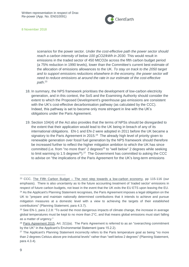

scenarios for the power sector. *Under the cost-effective path the power sector should reach a carbon intensity of below 100 gCO2/kWh in 2030.* This would result in emissions in the traded sector of 450 MtCO2e across the fifth carbon budget period (a 75% reduction in 1990 levels), lower than the Committee's current best estimate of the allocation of emissions allowances to the UK. *To stay on track to the 2050 target*  and to support emissions reductions elsewhere in the economy, the power sector will *need to reduce emissions at around the rate in our estimate of the cost-effective path*. 23

- 18. In summary, the NPS framework prioritises the development of low-carbon electricity generation, and in this context, the SoS and the Examining Authority should consider the extent to which the Proposed Development's greenhouse gas emissions are consistent with the UK's cost-effective decarbonisation pathway (as calculated by the CCC). Indeed, this pathway is set to become only more stringent in line with the UK's obligations under the Paris Agreement.
- 19. Section 104(4) of the Act also provides that the terms of NPSs should be disregarded to the extent that their application would lead to the UK being in breach of any of its international obligations. EN-1 and EN-2 were adopted in 2011 before the UK became a signatory to the Paris Agreement in 2015. $^{24}$  The already high level of priority given to renewable generation over fossil fuel generation by the NPS framework should therefore be increased further to reflect the higher mitigation ambition to which the UK has since committed (i.e. from "no more than" 2 degrees<sup>25</sup> to "well below" 2 degrees while seeking to limit warming to 1.5 degrees<sup>26</sup>).<sup>27</sup> The Government has committed to asking the CCC to advise on "the implications of the Paris Agreement for the UK's long-term emissions

<sup>&</sup>lt;sup>23</sup> CCC, The Fifth Carbon Budget – [The next step towards a low-carbon economy,](https://www.theccc.org.uk/wp-content/uploads/2015/11/Committee-on-Climate-Change-Fifth-Carbon-Budget-Report.pdf) pp 115-116 (our emphasis). There is also uncertainty as to the future accounting treatment of 'traded sector' emissions in respect of future carbon budgets, not least in the event that the UK exits the EU ETS upon leaving the EU. <sup>24</sup> As the Applicant's Planning Statement recognises, the Paris Agreement imposes a legal obligation on the UK to "prepare and maintain nationally determined contributions that it intends to achieve and pursue mitigation measures at a domestic level with a view to achieving the targets of their established contributions" (Planning Statement, para 4.3.7).

 $25$  See EN-1, para 2.2.8: "To avoid the most dangerous impacts of climate change, the increase in average global temperatures must be kept to no more than 2°C, and that means global emissions must start falling as a matter of urgency."

 $26$  [Paris Agreement 2015,](https://unfccc.int/sites/default/files/english_paris_agreement.pdf) Art.  $2(1)(a)$ . The Paris Agreement is referred to as an "overarching commitment" by the UK" in the Applicant's Environmental Statement (para 15.2.2).

<sup>&</sup>lt;sup>27</sup> The Applicant's Planning Statement incorrectly refers to the Paris temperature goal as being "no more than 2 degrees Celsius above pre-industrial levels" rather than "well below 2 degrees" (Planning Statement, para 4.3.4).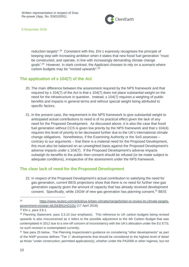

reduction targets".<sup>28</sup> Consistent with this, EN-1 expressly recognises the principle of keeping step with increasing ambition when it states that new fossil fuel generation "must be constructed, and operate, in line with increasingly demanding climate change goals".<sup>29</sup> However, in stark contrast, the Applicant chooses to rely on a scenario where carbon budgets may be "revised *upwards*". 30

#### <span id="page-9-0"></span>**The application of s 104(7) of the Act**

- 20. The main difference between the assessment required by the NPS framework and that required by s 104(7) of the Act is that s 104(7) does not place substantial weight on the need for the infrastructure in question. Instead, s 104(7) requires a weighing of public benefits and impacts in general terms and without special weight being attributed to specific factors.
- 21. In the present case, the requirement in the NPS framework to give substantial weight to anticipated actual contributions to need is of no practical effect given the lack of any need for the Proposed Development. As discussed above, it is also the case that fossil fuel generation without CCS is given low priority by the NPS framework and that s 104(4) requires this level of priority to be decreased further due to the UK's international climate change obligations. Nonetheless, if the Examining Authority or the SoS assesses – contrary to our arguments – that there is a material need for the Proposed Development, this must also be balanced on an unweighted basis against the Proposed Development's adverse impacts under s 104(7). If the Proposed Development's adverse impacts outweigh its benefits to the public then consent should be refused (or be made subject to adequate conditions), irrespective of the assessment under the NPS framework.

## <span id="page-9-1"></span>**The clear lack of need for the Proposed Development**

22. In respect of the Proposed Development's actual contribution to satisfying the need for gas generation, current BEIS projections show that there is no need for further new gas generation capacity given the amount of capacity that has already received development consent. Specifically, while 15GW of new gas generation has planning consent, $31$  BEIS

<sup>28</sup> [https://www.reuters.com/article/us-britain-climatechange/britain-to-review-its-climate-targets](https://www.reuters.com/article/us-britain-climatechange/britain-to-review-its-climate-targets-government-minister-idUSKBN1HO1DU)[government-minister-idUSKBN1HO1DU](https://www.reuters.com/article/us-britain-climatechange/britain-to-review-its-climate-targets-government-minister-idUSKBN1HO1DU) (17 April 2018).

<sup>29</sup> EN-1, para 3.6.1.

<sup>&</sup>lt;sup>30</sup> Planning Statement, para 3.3.10 (our emphasis). This reference to UK carbon budgets being revised upwards is also misconceived as it refers to the possible adjustment to the 4th Carbon Budget that was contemplated in 2012 due to a one-off concern of inconsistency with the UK's allocation under the EU ETS; no such revision is contemplated currently.

<sup>&</sup>lt;sup>31</sup> See para 25 below. The Planning Inspectorate's guidance on considering "other developments" as part of the NSIP process defines "Tier 1" developments that should be considered to the highest level of detail as those "under construction; permitted application(s), whether under the PA2008 or other regimes, but not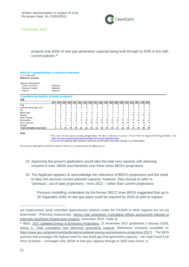

projects only 6GW of new gas generation capacity being built through to 2035 in line with current policies: 32

#### **BEIS 2017 Updated Energy & Emissions Projections** v1 0 21-Nov-2017 **Reference Scenario**

| Scenario Assumptions:     |           |
|---------------------------|-----------|
| <b>Fossil Fuel Prices</b> | Reference |
| <b>Economic Growth</b>    | Reference |
| Policies                  | Reference |
|                           |           |

#### Cumulative new build for all power producers<sup>1,3</sup> CW

|                                   |   |   | 2017 2018 2019 2020 |    | 2021 |    |    |    | 2022 2023 2024 2025 2026 2027 |          |    | 2028 2029 2030 |    |    | 2031 2032 2033 2034 2035 |              |    |    |    |
|-----------------------------------|---|---|---------------------|----|------|----|----|----|-------------------------------|----------|----|----------------|----|----|--------------------------|--------------|----|----|----|
| Coal                              |   |   |                     |    |      |    |    |    |                               |          |    |                |    |    |                          |              |    |    |    |
| Coal and natural gas CCS          | 0 | 0 |                     | 0  | 0    |    | 0  | 0  | $\bf{0}$                      | $\bf{0}$ | 0  | 0              | 0  | 0  | 0                        | 0            | 0  |    |    |
| Oil                               | 0 |   |                     |    |      |    |    |    |                               |          |    | 2              |    |    |                          |              |    |    |    |
| Natural gas                       | 0 |   |                     |    |      |    |    | 4  | 5                             | 5        | 5  | 5              | 5  | ь  | ь                        | 6            | ь  |    | ь  |
| Nuclear                           | 0 |   |                     |    | 0    |    | 0  | 0  | 2                             | 3        | 3  | 5              |    |    | 8                        | 10           | 10 | 12 | 13 |
| <b>Other Thermal</b>              | 0 |   |                     |    | 0    |    | 0  | o  | 0                             |          | 0  | 0              | 0  | 0  | 0                        | $\mathbf{0}$ |    |    |    |
| Renewables                        | 4 |   | 8                   | 10 | 12   | 15 | 16 | 19 | 21                            | 22       | 25 | 28             | 30 | 31 | 33                       | 37           | 40 | 42 | 45 |
| Interconnectors                   | 0 |   |                     |    |      | 6  | 10 | 14 | 14                            | 14       | 14 | 14             | 14 | 14 | 14                       | 14           | 14 | 14 | 15 |
| Storage                           | 0 |   |                     |    |      |    |    |    |                               |          |    | 2              | 3  | 4  | ь                        | 6            |    | 8  | 8  |
| <b>Total cumulative new build</b> | 4 | 8 | 12                  | 14 | 20   | 26 | 32 | 38 | 43                            | 48       | 51 | 56             | 61 | 63 | 68                       | 74           | 79 | 84 | 91 |

1 This covers all new capacity including autogeneration. The latter is defined as in section 1.33 and 1.34 of the Digest of UK Energy Statistics. See https://www.gov.uk/government/collections/digest-of-uk-energy-statistics-dukes 2 These are net capacities after allowing for plant own use (but before allowing for derating, e.g. of wind plants).

Any enquiries regarding this publication should be sent to us at emissionsprojections@beis.gov.uk

- 23. Approving the present application would take the total new capacity with planning consent to over 18GW and therefore over three times BEIS's projections.
- 24. The Applicant appears to acknowledge the relevance of BEIS's projections and the need to take into account current planned capacity; however, they choose to refer to "previous", out of date projections – from 2012 – rather than current projections:

Previous modelling undertaken by the former DECC (now BEIS) suggested that up to 26 Gigawatts (GW) of new gas plant could be required by 2030 (in part to replace

yet implemented; [and] submitted application(s) whether under the PA2008 or other regimes but not yet determined." (Planning Inspectorate, [Advice note seventeen: Cumulative effects assessment relevant to](http://infrastructure.planninginspectorate.gov.uk/wp-content/uploads/2015/12/Advice-note-17V4.pdf)  [nationally significant infrastructure projects,](http://infrastructure.planninginspectorate.gov.uk/wp-content/uploads/2015/12/Advice-note-17V4.pdf) December 2015, Table 3).

<sup>32</sup> BEIS, [2017 Updated Energy & Emissions Projections,](https://www.gov.uk/government/uploads/system/uploads/attachment_data/file/671187/Updated_energy_and_emissions_projections_2017.pdf) 21 November 2017 (published 2 January 2018), [Annex K: Total cumulative new electricity generating capacity](https://www.gov.uk/government/uploads/system/uploads/attachment_data/file/666266/Annex-k-total-cumulative-new-capacity.xls) (Reference scenario) (available at: [https://www.gov.uk/government/publications/updated-energy-and-emissions-projections-2017\)](https://www.gov.uk/government/publications/updated-energy-and-emissions-projections-2017). The BEIS scenario that envisages the highest need for new-build gas-fired generation capacity – the 'High Fossil Fuel Price Scenario' – envisages only 10GW of new gas capacity through to 2035 (see Annex 1).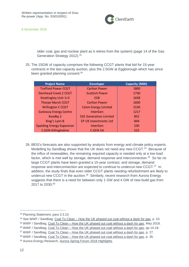

older coal, gas and nuclear plant as it retires from the system) (page 14 of the Gas Generation Strategy 2012).<sup>33</sup>

25. The 15GW of capacity comprises the following CCGT plants that bid for 15-year contracts in the last capacity auction, plus the 2.5GW at Eggborough which has since been granted planning consent:<sup>34</sup>

| <b>Project Name</b>              | <b>Developer</b>              | Capacity (MW) |
|----------------------------------|-------------------------------|---------------|
| <b>Trafford Power CCGT</b>       | <b>Carlton Power</b>          | 1800          |
| Damhead Creek 2 CCGT             | <b>Scottish Power</b>         | 1730          |
| Knottingley Unit 1+2             | <b>ESB</b>                    | 1658          |
| <b>Thorpe Marsh CCGT</b>         | <b>Carlton Power</b>          | 1600          |
| <b>Willington C CCGT</b>         | <b>Calon Energy Limited</b>   | 1530          |
| <b>Gateway Energy Centre</b>     | InterGen                      | 1217          |
| Keadby 2                         | <b>SSE Generation Limited</b> | 852           |
| King's Lynn B                    | <b>EP UK Investments Ltd</b>  | 844           |
| <b>Spalding Energy Expansion</b> | <b>InterGen</b>               | 530           |
| <b>C.GEN Killingholme</b>        | <b>C.GEN SA</b>               | 522           |

26. BEIS's forecasts are also supported by analysis from energy and climate policy experts. Modelling by Sandbag shows that the UK does not need *any* new CCGT. <sup>35</sup> Because of the influx of renewables, the remaining required capacity is needed only at a low load factor, which is met well by storage, demand response and interconnection.<sup>36</sup> So far no large CCGT plants have been granted a 15-year contract, and storage, demand response and interconnection are expected to continue to undercut new CCGT.<sup>37</sup> In addition, the study finds that even older CCGT plants needing refurbishment are likely to undercut new CCGT in the auction.<sup>38</sup> Similarly, recent research from Aurora Energy suggests that there is a need for between only 1 GW and 4 GW of new build gas from 2017 to 2030:<sup>39</sup>

35 WWF / Sandbag, Coal To Clean - [How the UK phased out coal without a dash for gas,](https://sandbag.org.uk/wp-content/uploads/2018/05/Coal-To-Clean-May-2018.pdf) May 2018.

<sup>33</sup> Planning Statement, para 3.3.10.

<sup>34</sup> See WWF / Sandbag, Coal To Clean – [How the UK phased out coal without a dash for gas,](https://sandbag.org.uk/wp-content/uploads/2018/05/Coal-To-Clean-May-2018.pdf) p. 10.

<sup>36</sup> WWF / Sandbag, Coal To Clean – [How the UK phased out coal without a dash for gas,](https://sandbag.org.uk/wp-content/uploads/2018/05/Coal-To-Clean-May-2018.pdf) pp 14-18.

<sup>37</sup> WWF / Sandbag, Coal To Clean - [How the UK phased out coal without a dash for gas,](https://sandbag.org.uk/wp-content/uploads/2018/05/Coal-To-Clean-May-2018.pdf) p. 27.

<sup>38</sup> WWF / Sandbag, Coal To Clean – [How the UK phased out coal without a dash for gas,](https://sandbag.org.uk/wp-content/uploads/2018/05/Coal-To-Clean-May-2018.pdf) p. 35.

<sup>39</sup> Aurora Energy Research, [Aurora Spring Forum 2018 Highlights.](https://www.auroraer.com/wp-content/uploads/2018/03/Aurora-Spring-Forum-2018-Highlights.pdf)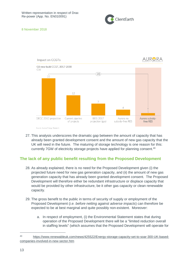



27. This analysis underscores the dramatic gap between the amount of capacity that has already been granted development consent and the amount of new gas capacity that the UK will need in the future. The maturing of storage technology is one reason for this: currently 7GW of electricity storage projects have applied for planning consent. 40

## <span id="page-12-0"></span>**The lack of any public benefit resulting from the Proposed Development**

- 28. As already explained, there is no need for the Proposed Development given (i) the projected future need for new gas generation capacity, and (ii) the amount of new gas generation capacity that has already been granted development consent. The Proposed Development will therefore either be redundant infrastructure or displace capacity that would be provided by other infrastructure, be it other gas capacity or clean renewable capacity.
- 29. The gross benefit to the public in terms of security of supply or employment of the Proposed Development (*i.e. before netting against adverse impacts*) can therefore be expected to be at best marginal and quite possibly non-existent. Moreover:
	- a. In respect of employment, (i) the Environmental Statement states that during operation of the Proposed Development there will be a "limited *reduction* overall in staffing levels" (which assumes that the Proposed Development will operate for

<sup>40</sup> [https://www.renewableuk.com/news/425522/Energy-storage-capacity-set-to-soar-300-UK-based](https://www.renewableuk.com/news/425522/Energy-storage-capacity-set-to-soar-300-UK-based-companies-involved-in-new-sector.htm)[companies-involved-in-new-sector.htm](https://www.renewableuk.com/news/425522/Energy-storage-capacity-set-to-soar-300-UK-based-companies-involved-in-new-sector.htm)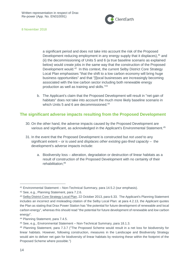

a significant period and does not take into account the risk of the Proposed Development reducing employment in any energy supply that it displaces), <sup>41</sup> and (ii) the decommissioning of Units 5 and 6 (a true baseline scenario as explained below) would create jobs in the same way that the construction of the Proposed Development would.<sup>42</sup> In this context, the current Selby District Core Strategy Local Plan emphasises "that the shift to a low carbon economy will bring huge business opportunities" and that "[l]ocal businesses are increasingly becoming associated with the low carbon sector including both renewable energy production as well as training and skills."<sup>43</sup>

b. The Applicant's claim that the Proposed Development will result in "net gain of habitats" does not take into account the much more likely baseline scenario in which Units 5 and 6 are decommissioned.<sup>44</sup>

## <span id="page-13-0"></span>**The significant adverse impacts resulting from the Proposed Development**

- 30. On the other hand, the adverse impacts caused by the Proposed Development are various and significant, as acknowledged in the Applicant's Environmental Statement.<sup>45</sup>
- 31. In the event that the Proposed Development is constructed but *not used* to any significant extent – or is used and *displaces other existing gas-fired capacity* – the development's adverse impacts include:
	- a. Biodiversity loss alteration, degradation or destruction of linear habitats as a result of construction of the Proposed Development with no certainty of their rehabilitation;<sup>46</sup>

<sup>41</sup> Environmental Statement – Non-Technical Summary, para 14.5.2 (our emphasis).

<sup>42</sup> See, e.g., Planning Statement, para 7.2.6.

<sup>43</sup> [Selby District Core Strategy Local Plan,](https://www.selby.gov.uk/sites/default/files/Documents/CS_Adoption_Ver_OCT_2013_REDUCED.pdf) 22 October 2013, para 6.33. The Applicant's Planning Statement includes an incorrect and misleading citation of the Selby Local Plan: at para 4.2.13, the Applicant quotes the Plan as stating that Drax Power Station has "the potential for future development of renewable and local carbon energy", whereas this should read "the potential for future development of renewable and *low* carbon energy".

<sup>44</sup> Planning Statement, para 7.4.5.

<sup>45</sup> See, e.g., Environmental Statement – Non-Technical Summary, para 18.1.3.

<sup>46</sup> Planning Statement, para 7.3.7 ("The Proposed Scheme would result in a net loss for biodiversity for linear habitats. However, following construction, measures in the Landscape and Biodiversity Strategy would aim to deliver net gain for biodiversity of linear habitats by restoring these within the footprint of the Proposed Scheme where possible.")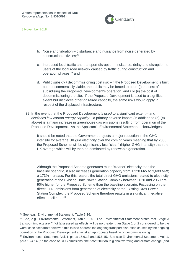ClientEarth

8 November 2018

- b. Noise and vibration disturbance and nuisance from noise generated by construction activities;<sup>47</sup>
- c. Increased local traffic and transport disruption nuisance, delay and disruption to users of the local road network caused by traffic during construction and operation phases;<sup>48</sup> and
- d. Public subsidy / decommissioning cost risk if the Proposed Development is built but not commercially viable, the public may be forced to bear: (i) the cost of subsidising the Proposed Development's operation, and / or (ii) the cost of decommissioning the site. If the Proposed Development is used to a significant extent but displaces other gas-fired capacity, the same risks would apply in respect of the displaced infrastructure.
- 32. In the event that the Proposed Development *is used* to a significant extent and *displaces low-carbon energy capacity* – a primary adverse impact (in addition to (a)-(c) above) is a major increase in greenhouse gas emissions resulting from operation of the Proposed Development. As the Applicant's Environmental Statement acknowledges:

It should be noted that the Government projects a major reduction in the GHG intensity for average UK grid electricity over the coming years meaning that by 2050 the Proposed Scheme will be significantly less 'clean' (higher GHG intensity) than the UK average which will by then be dominated by renewable generation.

…

Although the Proposed Scheme generates much 'cleaner' electricity than the baseline scenario, it also increases generation capacity from 1,320 MW to 3,600 MW; a 173% increase. For this reason, the total direct GHG emissions related to electricity generation at the Existing Drax Power Station Complex between 2020 and 2050 are 90% higher for the Proposed Scheme than the baseline scenario. Focussing on the direct GHG emissions from generation of electricity at the Existing Drax Power Station Complex, the Proposed Scheme therefore results in a significant negative effect on climate  $49$ 

<sup>47</sup> See, e.g., Environmental Statement, Table 7-16.

<sup>48</sup> See, e.g., Environmental Statement, Table 5-56. The Environmental Statement states that Stage 3 transport impacts are "[n]ot [a]ssessed as effects will be no greater than Stage 1 or 2 considered to be the worst case scenario"; however, this fails to address the ongoing transport disruption caused by the ongoing operation of the Proposed Development against an appropriate baseline of decommissioning.

<sup>49</sup> Environmental Statement, Vol. 1, paras 15.6.13 and 15.6.15. See also Environmental Statement, Vol. 1, para 15.4.14 ("In the case of GHG emissions, their contribution to global warming and climate change (and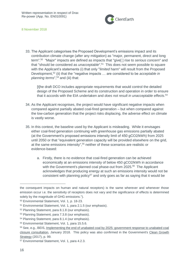

33. The Applicant categorises the Proposed Development's emissions impact and its contribution climate change (*after* any mitigation) as "major, permanent, direct and long term". 50 "Major" impacts are defined as impacts that "give[ ] rise to *serious concern*" and that "should be considered as *unacceptable*". 51 This does not seem possible to square with the Applicant's statements (i) that only "*limited* harm" will result from the Proposed Development,<sup>52</sup> (ii) that the "negative impacts … are considered to be *acceptable in planning terms*", <sup>53</sup> and (iii) that:

[t]he draft DCO includes appropriate requirements that would control the detailed design of the Proposed Scheme and its construction and operation in order to ensure that it accords with the EIA undertaken and *does not result in unacceptable effects*. 54

- 34. As the Applicant recognises, the project would have significant negative impacts when compared against partially abated coal-fired generation – but when compared against the low-carbon generation that the project risks displacing, the adverse effect on climate is vastly worse.
- 35. In this context, the baseline used by the Applicant is misleading. While it envisages either coal-fired generation continuing with greenhouse gas emissions partially abated (at the Government's proposed emissions intensity limit of 450 gCO2/kWh) from 2025 until 2050 or that "equivalent generation capacity will be provided elsewhere on the grid, at the same emissions intensity", <sup>55</sup> neither of these scenarios are realistic or evidence-based:
	- a. Firstly, there is no evidence that coal-fired generation can be achieved economically at an emissions intensity of below 450 gCO2/kWh in accordance with the Government's planned coal phase-out from 2025.<sup>56</sup> The Applicant acknowledges that producing energy at such an emissions intensity would not be consistent with planning policy<sup>57</sup> and only goes as far as saying that it would be

the consequent impacts on human and natural receptors) is the same wherever and whenever those emission occur i.e. the sensitivity of receptors does not vary and the significance of effects is determined solely by the magnitude of GHG emissions.").

<sup>50</sup> Environmental Statement, Vol. 1, p. 18-23.

<sup>51</sup> Environmental Statement, Vol. 1, para 2.1.5 (our emphasis).

<sup>52</sup> Planning Statement, para 8.1.8 (our emphasis).

<sup>53</sup> Planning Statement, para 7.3.8 (our emphasis).

<sup>54</sup> Planning Statement, para 8.1.4 (our emphasis).

<sup>55</sup> Environmental Statement, Vol. 1, para 15.5.6.

<sup>56</sup> See, e.g., BEIS, [Implementing the end of unabated coal by 2025: government response to unabated coal](https://www.gov.uk/government/uploads/system/uploads/attachment_data/file/672137/Government_Response_to_unabated_coal_consultation_and_statement_of_policy.pdf)  [closure consultation,](https://www.gov.uk/government/uploads/system/uploads/attachment_data/file/672137/Government_Response_to_unabated_coal_consultation_and_statement_of_policy.pdf) January 2018. This policy was also confirmed in the Government's [Clean Growth](https://www.gov.uk/government/uploads/system/uploads/attachment_data/file/700496/clean-growth-strategy-correction-april-2018.pdf)  [Strategy](https://www.gov.uk/government/uploads/system/uploads/attachment_data/file/700496/clean-growth-strategy-correction-april-2018.pdf) (2017), p. 99.

<sup>57</sup> Environmental Statement, Vol. 1, para 4.2.3.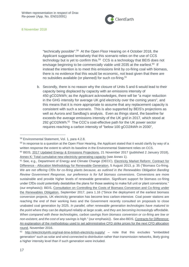

"technically possible".<sup>58</sup> At the Open Floor Hearing on 4 October 2018, the Applicant suggested tentatively that this scenario relies on the use of CCS technology but is yet to confirm this.<sup>59</sup> CCS is a technology that BEIS does not envisage beginning to be commercially viable until 2035 at the earliest.<sup>60</sup> If instead the intention is to meet this emissions limit by co-firing coal with biomass, there is no evidence that this would be economic, not least given that there are no subsidies available (or planned) for such co-firing.<sup>61</sup>

b. Secondly, there is no reason why the closure of Units 5 and 6 would lead to their capacity being displaced by capacity with an emissions intensity of 450 gCO2/kWh; as the Applicant acknowledges, there will be "a major reduction in the GHG intensity for average UK grid electricity over the coming years", and this means that it is more appropriate to assume that any replacement capacity is consistent with such a scenario. This is also supported by BEIS's projections as well as Aurora and Sandbag's analysis. Even as things stand, the baseline far exceeds the average emissions intensity of the UK grid in 2017, which stood at 292 gCO2/kWh.<sup>62</sup> The CCC's cost-effective path for the UK power sector requires reaching a carbon intensity of "below 100 gCO2/kWh in 2030",

<sup>58</sup> Environmental Statement, Vol. 1, para 4.2.8.

<sup>&</sup>lt;sup>59</sup> In response to a question at the Open Floor Hearing, the Applicant stated that it would clarify by way of a written response the extent to which its baseline in the Environmental Statement relies on CCS. <sup>60</sup> BEIS, [2017 Updated Energy & Emissions Projections,](https://www.gov.uk/government/uploads/system/uploads/attachment_data/file/671187/Updated_energy_and_emissions_projections_2017.pdf) 21 November 2017 (published 2 January 2018),

[Annex K: Total cumulative new electricity generating capacity](https://www.gov.uk/government/uploads/system/uploads/attachment_data/file/666266/Annex-k-total-cumulative-new-capacity.xls) (see Annex 1).

<sup>&</sup>lt;sup>61</sup> See, e.g., Department of Energy and Climate Change (DECC), Electricity Market Reform: Contract for Difference - [Allocation Methodology for Renewable Generation,](https://assets.publishing.service.gov.uk/government/uploads/system/uploads/attachment_data/file/404467/Allocation_Methodology_-_MASTER_-_6_Aug_v_FINAL.pdf) 5 August 2013, p. 35 ("Biomass Co-firing. *We are not offering CfDs for co-firing plants because, as outlined in the Renewables Obligation Banding Review Government Response, our preference is for full biomass conversions*. Conversions are more sustainable and provide higher levels of renewable generation. Significant support for biomass co-firing under CfDs could potentially destabilise the plans for those seeking to make full unit or plant conversions." (our emphasis)); BEIS, [Consultation on Controlling the Costs of Biomass Conversion and Co-firing under](https://www.gov.uk/government/uploads/system/uploads/attachment_data/file/645002/Biomass_cost_control_con_doc_final.pdf)  [the Renewables Obligation,](https://www.gov.uk/government/uploads/system/uploads/attachment_data/file/645002/Biomass_cost_control_con_doc_final.pdf) September 2017, para 1.16 ("Since the deployment of the earliest biomass conversion projects, UK electricity generation has become less carbon-intensive. Coal power stations are reaching the end of their working lives and the Government recently consulted on proposals to close unabated coal generation by 2025. *In parallel, other renewable generation technologies have matured to the point where they can be deployed reliably at large scale, and they are becoming increasingly affordable. When compared with these technologies, carbon savings from biomass conversion or co-firing are low or non-existent, and the cost of any savings is high*." (our emphasis)). See also BEIS, [Contracts for Difference:](https://www.gov.uk/government/uploads/system/uploads/attachment_data/file/566337/CONTRACT_FOR_DIFFERENCE_STRIKE_PRICE_METHODOLOGY_final.pdf)  [An explanation of the methodology used to set administrative CFD strike prices for the next CFD allocation](https://www.gov.uk/government/uploads/system/uploads/attachment_data/file/566337/CONTRACT_FOR_DIFFERENCE_STRIKE_PRICE_METHODOLOGY_final.pdf)  [round,](https://www.gov.uk/government/uploads/system/uploads/attachment_data/file/566337/CONTRACT_FOR_DIFFERENCE_STRIKE_PRICE_METHODOLOGY_final.pdf) November 2016.

 $62$  <http://electricityinfo.org/real-time-british-electricity-supply/> – note that this excludes "embedded generation" such as solar and wind connected to distribution rather than transmission networks, likely giving a higher intensity level than if such generation were included.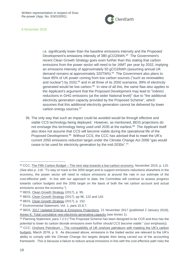

i.e. significantly lower than the baseline emissions intensity and the Proposed Development's emissions intensity of 380 gCO2/kWh.<sup>63</sup> The Government's recent Clean Growth Strategy goes even further than this stating that carbon emissions from the power sector will need to be 16MT per year by 2032, implying an emissions intensity of approximately 50 gCO2/kWh (assuming annual UK demand remains at approximately 320TWh). <sup>64</sup> The Government also plans to have 85% of UK power coming from low carbon sources ("such as renewables and nuclear") by 2032,<sup>65</sup> and in all three of its 2050 scenarios, 99% of electricity generated would be low carbon.<sup>66</sup> In view of all this, the same flaw also applies to the Applicant's argument that the Proposed Development may lead to "indirect reductions in GHG emissions (at the wider National level)" due to "the additional electricity generation capacity provided by the Proposed Scheme", which assumes that this additional electricity generation cannot be delivered by lower carbon energy sources.<sup>67</sup>

36. The only way that such an impact could be avoided would be through effective and viable CCS technology being deployed. However, as mentioned, BEIS projections do not envisage this technology being used until 2035 at the earliest.<sup>68</sup> The Applicant itself also does not assume that CCS will become viable during the operational life of the Proposed Development.<sup>69</sup> Without CCS, the CCC has advised that to meet the UK's current 2050 emissions reduction target under the Climate Change Act 2008 "gas would cease to be used for electricity generation by the mid-2030s". 70

<sup>63</sup> CCC, The Fifth Carbon Budget – [The next step towards a low-carbon economy,](https://www.theccc.org.uk/wp-content/uploads/2015/11/Committee-on-Climate-Change-Fifth-Carbon-Budget-Report.pdf) November 2015, p. 115. (See also p. 116: "To stay on track to the 2050 target and to support emissions reductions elsewhere in the economy, the power sector will need to reduce emissions at around the rate in our estimate of the cost-effective path. In line with our approach to date, the Committee will continue to assess progress towards carbon budgets and the 2050 target on the basis of both the net carbon account and actual emissions across the economy.")

<sup>64</sup> BEIS, [Clean Growth Strategy](https://www.gov.uk/government/uploads/system/uploads/attachment_data/file/700496/clean-growth-strategy-correction-april-2018.pdf) (2017), p. 95.

<sup>65</sup> BEIS, [Clean Growth Strategy](https://www.gov.uk/government/uploads/system/uploads/attachment_data/file/700496/clean-growth-strategy-correction-april-2018.pdf) (2017), pp 96, 122 and 142.

<sup>66</sup> BEIS, [Clean Growth Strategy](https://www.gov.uk/government/uploads/system/uploads/attachment_data/file/700496/clean-growth-strategy-correction-april-2018.pdf) (2017), p. 152.

<sup>67</sup> Environmental Statement, Vol. 1, para 15.8.7.

<sup>68</sup> BEIS, [2017 Updated Energy & Emissions Projections,](https://www.gov.uk/government/uploads/system/uploads/attachment_data/file/671187/Updated_energy_and_emissions_projections_2017.pdf) 21 November 2017 (published 2 January 2018), [Annex K: Total cumulative new electricity generating capacity](https://www.gov.uk/government/uploads/system/uploads/attachment_data/file/666266/Annex-k-total-cumulative-new-capacity.xls) (see Annex 1).

<sup>69</sup> Planning Statement, para 7.2.5 ("The Proposed Scheme has been designed to be CCR and thus has the potential to lower its carbon dioxide emissions even further *should CCS become viable*." (our emphasis)).

 $70$  CCC, Onshore Petroleum – The compatibility of UK onshore petroleum with meeting the UK's carbon [budgets,](https://www.theccc.org.uk/wp-content/uploads/2016/07/CCC-Compatibility-of-onshore-petroleum-with-meeting-UK-carbon-budgets.pdf) March 2016, p. 9. As discussed above, emissions in the traded sector are relevant to the UK's ability to comply with the Climate Change Act targets despite their being carved out of the accounting framework. This is because a failure to reduce actual emissions in line with the cost-effective path risks the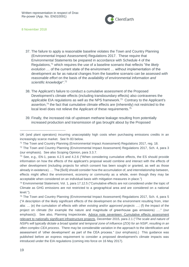

- 37. The failure to apply a reasonable baseline violates the Town and Country Planning (Environmental Impact Assessment) Regulations 2017. These require that Environmental Statements be prepared in accordance with Schedule 4 of the Regulations,<sup>71</sup> which requires the use of a baseline scenario that reflects "the *likely evolution* … of the current state of the environment … without implementation of the development as far as natural changes from the baseline scenario can be assessed *with reasonable effort* on the basis of the *availability of environmental information and scientific knowledge*".<sup>72</sup>
- 38. The Applicant's failure to conduct a cumulative assessment of the Proposed Development's climate effects (including transboundary effects) also contravenes the applicable EIA regulations as well as the NPS framework.<sup>73</sup> Contrary to the Applicant's assertion,<sup>74</sup> the fact that cumulative climate effects are (inherently) not restricted to the local level does not relieve the Applicant of these requirements.<sup>75</sup>
- 39. Finally, the increased risk of upstream methane leakage resulting from potentially increased production and transmission of gas brought about by the Proposed

UK (and plant operators) incurring unacceptably high costs when purchasing emissions credits in an increasingly scarce market. See fn 83 below.

<sup>71</sup> The Town and Country Planning (Environmental Impact Assessment) Regulations 2017, reg. 18.

<sup>72</sup> The Town and Country Planning (Environmental Impact Assessment) Regulations 2017, Sch. 4, para 3 (our emphasis). See also Scoping Opinion, para 3.3.7.

<sup>73</sup> See, e.g., EN-1, paras 4.2.5 and 4.2.6 ("When considering cumulative effects, the ES should provide information on how the effects of the applicant's proposal would combine and interact with the effects of other development (including projects for which consent has been sought or granted, as well as those already in existence). … The [SoS] should consider how the accumulation of, and interrelationship between, effects might affect the environment, economy or community as a whole, even though they may be acceptable when considered on an individual basis with mitigation measures in place.")

<sup>74</sup> Environmental Statement, Vol. 1, para 17.12.5 ("Cumulative effects are not considered under the topic of Climate as GHG emissions are not restricted to a geographical area and are considered on a national level.").

<sup>75</sup> The Town and Country Planning (Environmental Impact Assessment) Regulations 2017, Sch. 4, para 5 ("A description of the likely significant effects of the development on the environment resulting from, inter alia: … (e) the cumulation of effects with other *existing and/or approved projects* …; (f) the impact of the project on climate (for example the nature and magnitude of greenhouse gas emissions) …." (our emphasis)). See also, Planning Inspectorate, [Advice note seventeen: Cumulative effects assessment](http://infrastructure.planninginspectorate.gov.uk/wp-content/uploads/2015/12/Advice-note-17V4.pdf)  [relevant to nationally significant infrastructure projects,](http://infrastructure.planninginspectorate.gov.uk/wp-content/uploads/2015/12/Advice-note-17V4.pdf) December 2015, para 2.1 ("*The scale and nature of NSIPs will typically dictate a broad spatial and temporal zone of influence (ZOI) for an NSIP*, *resulting in an often complex CEA process*. There may be considerable variation in the approach to the identification and assessment of 'other development' as part of the CEA process." (our emphasis).) This guidance was published before an express requirement to consider a proposed development's climate impacts was introduced under the EIA regulations (coming into force on 16 May 2017).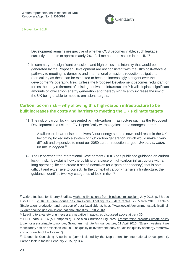

Development remains irrespective of whether CCS becomes viable; such leakage currently amounts to approximately 7% of all methane emissions in the UK.<sup>76</sup>

40. In summary, the significant emissions and high emissions intensity that would be generated by the Proposed Development are not consistent with the UK's cost-effective pathway to meeting its domestic and international emissions reduction obligations (particularly as these can be expected to become increasingly stringent over the development's operating life). Unless the Proposed Development becomes redundant or forces the early retirement of existing equivalent infrastructure, $77$  it will displace significant amounts of low-carbon energy generation and thereby significantly increase the risk of the UK being unable to meet its emissions targets.

# <span id="page-19-0"></span>**Carbon lock-in risk – why allowing this high-carbon infrastructure to be built increases the costs and barriers to meeting the UK's climate targets**

41. The risk of carbon lock-in presented by high-carbon infrastructure such as the Proposed Development is a risk that EN-1 specifically warns against in the strongest terms:

A failure to decarbonise and diversify our energy sources now could result in the UK becoming locked into a system of high carbon generation, which would make it very difficult and expensive to meet our 2050 carbon reduction target. *We cannot afford for this to happen*. 78

42. The Department for International Development (DFID) has published guidance on carbon lock-in risk. It explains how the building of a piece of high-carbon infrastructure with a long operating life can create a set of incentives (or a 'path dependency') that is both difficult and expensive to correct. In the context of carbon-intensive infrastructure, the guidance identifies two key categories of lock-in risk:<sup>79</sup>

<sup>76</sup> Oxford Institute for Energy Studies, [Methane Emissions: from blind spot to spotlight,](https://www.oxfordenergy.org/wpcms/wp-content/uploads/2017/07/Methane-Emissions-from-blind-spot-to-spotlight-NG-122.pdf) July 2018, p. 33; see also BEIS, [2016 UK greenhouse gas emissions: final figures -](https://www.gov.uk/government/uploads/system/uploads/attachment_data/file/695421/Copy_of_2016_Final_emissions_data_tables.xlsx) data tables, 29 March 2018, Table 5 (Exploration, production and transport of gas) (available at: [https://www.gov.uk/government/statistics/final](https://www.gov.uk/government/statistics/final-uk-greenhouse-gas-emissions-national-statistics-1990-2016)[uk-greenhouse-gas-emissions-national-statistics-1990-2016\)](https://www.gov.uk/government/statistics/final-uk-greenhouse-gas-emissions-national-statistics-1990-2016).

<sup>77</sup> Leading to a variety of unnecessary negative impacts, as discussed above at para 30.

<sup>&</sup>lt;sup>78</sup> EN-1, para 3.3.16 (our emphasis). See also Christiana Figueres, Transforming growth: Climate policy [today for a sustainable tomorrow,](https://www.clientearth.org/figueres-growth-can-happen-without-fossil-fuels/) Grantham Institute Annual Lecture, 11 April 2016 ("Every investment we make today has an emissions lock-in. The quality of investment today equals the quality of energy tomorrow and our quality of life forever.").

<sup>79</sup> Economic Consulting Associates (commissioned by the Department for International Development), [Carbon lock-in toolkit,](https://assets.publishing.service.gov.uk/media/57a08978ed915d622c000223/61516_Carbon_lock-in_toolkit.pdf) February 2015, pp 3-4.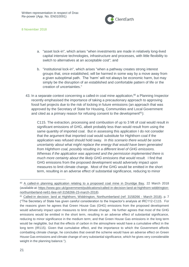

- a. "asset lock-in", which arises "when investments are made in relatively long-lived capital intensive technologies, infrastructure and processes, with little flexibility to switch to alternatives at an acceptable cost"; and
- b. "institutional lock-in", which arises "when a pathway creates strong interest groups that, once established, will be harmed in some way by a move away from a given suboptimal path. The 'harm' will not always be economic harm, but may simply be the disruption of an established and comfortable pattern of life or the creation of uncertainties."
- 43. In a separate context concerning a called-in coal mine application,<sup>80</sup> a Planning Inspector recently emphasised the importance of taking a precautionary approach to approving fossil fuel projects due to the risk of locking in future emissions (an approach that was approved by the Secretary of State for Housing, Communities and Local Government and cited as a primary reason for refusing consent to the development<sup>81</sup>):

C115. The extraction, processing and combustion of up to 3 Mt of coal would result in significant emissions of GHG, albeit probably less than would result from using the same quantity of imported coal. But in assessing this application I do not consider that the argument that imported coal would substitute for Highthorn coal if the application was refused should hold sway. *In this scenario there would be some uncertainty about what might replace the energy that would have been generated from Highthorn coal, possibly resulting in a different level of GHG emissions. Whereas if the application was approved and the permission implemented there is much more certainty about the likely GHG emissions that would result.* I find that GHG emissions from the proposed development would adversely impact upon measures to limit climate change. Most of the GHG would be emitted in the short term, resulting in an adverse effect of substantial significance, reducing to minor

<sup>80</sup> [A called-in planning application relating to a proposed coal mine in Druridge Bay,](https://www.gov.uk/government/uploads/system/uploads/attachment_data/file/692060/18-03-23_DL_IR_Highthorn_3158266.pdf) 22 March 2018 (available at: [https://www.gov.uk/government/publications/called-in-decision-land-at-highthorn-widdrington](https://www.gov.uk/government/publications/called-in-decision-land-at-highthorn-widdrington-northumberland-ne61-6ee-ref-3158266-23-march-2018)[northumberland-ne61-6ee-ref-3158266-23-march-2018\)](https://www.gov.uk/government/publications/called-in-decision-land-at-highthorn-widdrington-northumberland-ne61-6ee-ref-3158266-23-march-2018).

<sup>81</sup> [Called-in decision: land at Highthorn, Widdrington,](https://www.gov.uk/government/uploads/system/uploads/attachment_data/file/692060/18-03-23_DL_IR_Highthorn_3158266.pdf) Northumberland (ref: 3158266 - March 2018), p. 7 ("The Secretary of State has given careful consideration to the Inspector's analysis at IRC112-C115. For the reasons given he agrees that Green House Gas (GHG) emissions from the proposed development would adversely impact upon measures to limit climate change. He further agrees that most of the GHG emissions would be emitted in the short term, resulting in an adverse effect of substantial significance, reducing to minor significance in the medium term; and that Green House Gas emissions in the long term would be negligible, but that the effects of carbon in the atmosphere would have a cumulative effect in the long term (IR115). Given that cumulative effect, and the importance to which the Government affords combatting climate change, he concludes that overall the scheme would have an adverse effect on Green House Gas emissions and climate change of very substantial significance, which he gives very considerable weight in the planning balance.").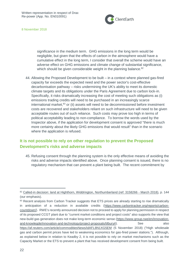

significance in the medium term. GHG emissions in the long term would be negligible, but given that the effects of carbon in the atmosphere would have a cumulative effect in the long term, I consider that overall the scheme would have an adverse effect on GHG emissions and climate change of substantial significance, which should be given considerable weight in the planning balance.<sup>82</sup>

44. Allowing the Proposed Development to be built – in a context where planned gas-fired capacity far exceeds the expected need and the power sector's cost-effective decarbonisation pathway – risks undermining the UK's ability to meet its domestic climate targets and its obligations under the Paris Agreement due to carbon lock-in. Specifically, it risks dramatically increasing the cost of meeting such obligations as (i) emissions trading credits will need to be purchased in an increasingly scarce  $intermational market<sub>3</sub><sup>83</sup>$  or (ii) assets will need to be decommissioned before investment costs are recovered and stakeholders reliant on such infrastructure will need to be given acceptable routes out of such reliance. Such costs may prove too high in terms of political acceptability leading to non-compliance. To borrow the words used by the Inspector above, if the application for development consent is approved "there is much more certainty about the likely GHG emissions that would result" than in the scenario where the application is refused.

# <span id="page-21-0"></span>**It is not possible to rely on other regulation to prevent the Proposed Development's risks and adverse impacts**

45. Refusing consent through the planning system is the only effective means of avoiding the risks and adverse impacts identified above. Once planning consent is issued, there is no regulatory mechanism that can prevent a plant being built. The recent commitment by

<sup>82</sup> [Called-in decision: land at Highthorn, Widdrington,](https://www.gov.uk/government/uploads/system/uploads/attachment_data/file/692060/18-03-23_DL_IR_Highthorn_3158266.pdf) Northumberland (ref: 3158266 - March 2018), p. 144 (our emphasis).

<sup>83</sup> Recent analysis from Carbon Tracker suggests that ETS prices are already starting to rise dramatically in anticipation of a reduction in available credits [\(https://www.carbontracker.org/reports/carbon](https://www.carbontracker.org/reports/carbon-countdown/)[countdown/\)](https://www.carbontracker.org/reports/carbon-countdown/). RWE's recently announced decision not to proceed to apply for planning permission in respect of its proposed CCGT plant due to "current market conditions and project costs" also supports the view that new-build gas generation does not make long-term economic sense [\(https://www.group.rwe/en/innovation](https://www.group.rwe/en/innovation-and-knowlegde/innovation-and-technology/project-proposals/tilbury)[and-knowlegde/innovation-and-technology/project-proposals/tilbury#\)](https://www.group.rwe/en/innovation-and-knowlegde/innovation-and-technology/project-proposals/tilbury). See See also <https://af.reuters.com/article/commoditiesNews/idAFL8N1XG5EM> (5 November 2018) ("High wholesale gas and carbon permit prices have led to weakening economics for gas-fired power stations."). Although, as explained below in relation to Keadby 2, it is not possible to rely on market mechanisms such as the Capacity Market or the ETS to prevent a plant that has received development consent from being built.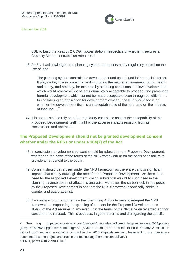

SSE to build the Keadby 2 CCGT power station irrespective of whether it secures a Capacity Market contract illustrates this.<sup>84</sup>

46. As EN-1 acknowledges, the planning system represents a key regulatory control on the use of land:

The planning system controls the development and use of land in the public interest. It plays a key role in protecting and improving the natural environment, public health and safety, and amenity, for example by attaching conditions to allow developments which would otherwise not be environmentally acceptable to proceed, and preventing harmful development which cannot be made acceptable even through conditions. … In considering an application for development consent, the IPC should focus on whether the development itself is an acceptable use of the land, and on the impacts of that use  $\ldots$ <sup>85</sup>

47. It is not possible to rely on other regulatory controls to assess the acceptability of the Proposed Development itself in light of the adverse impacts resulting from its construction and operation.

# <span id="page-22-0"></span>**The Proposed Development should not be granted development consent whether under the NPSs or under s 104(7) of the Act**

- 48. In conclusion, development consent should be refused for the Proposed Development, whether on the basis of the terms of the NPS framework or on the basis of its failure to provide a net benefit to the public.
- 49. Consent should be refused under the NPS framework as there are various significant impacts that clearly outweigh the need for the Proposed Development. As there is no need for the Proposed Development, giving substantial weight to such need in the planning balance does not affect this analysis. Moreover, the carbon lock-in risk posed by the Proposed Development is one that the NPS framework specifically seeks to counter and guard against.
- 50. If contrary to our arguments the Examining Authority were to interpret the NPS framework as supporting the granting of consent for the Proposed Development, s 104(7) of the Act requires in any event that the terms of the NPSs be disregarded and for consent to be refused. This is because, in general terms and disregarding the specific

<sup>84</sup> See, e.g., [https://www.siemens.com/press/en/pressrelease/?press=/en/pressrelease/2018/power](https://www.siemens.com/press/en/pressrelease/?press=/en/pressrelease/2018/power-gas/pr2018060209pgen.htm&content%5b%5d=PG)[gas/pr2018060209pgen.htm&content\[\]=PG](https://www.siemens.com/press/en/pressrelease/?press=/en/pressrelease/2018/power-gas/pr2018060209pgen.htm&content%5b%5d=PG) (5 June 2018) ("The decision to build Keadby 2 continues without SSE securing a capacity contract in the 2018 Capacity Auction, testament to the company's commitment to the project and trust in the technology Siemens can deliver.") <sup>85</sup> EN-1, paras 4.10.2 and 4.10.3.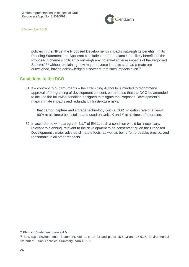

policies in the NPSs, the Proposed Development's impacts outweigh its benefits. In its Planning Statement, the Applicant concludes that "on balance, the likely benefits of the Proposed Scheme significantly outweigh any potential adverse impacts of the Proposed Scheme",<sup>86</sup> without explaining how major adverse impacts such as climate are outweighed, having acknowledged elsewhere that such impacts exist.<sup>87</sup>

#### <span id="page-23-0"></span>**Conditions to the DCO**

51. If – contrary to our arguments – the Examining Authority is minded to recommend approval of the granting of development consent, we propose that the DCO be amended to include the following condition designed to mitigate the Proposed Development's major climate impacts and redundant infrastructure risks:

that carbon capture and storage technology (with a CO2 mitigation rate of at least 90% at all times) be installed and used on Units X and Y at all times of operation.

52. In accordance with paragraph 4.1.7 of EN-1, such a condition would be "necessary, relevant to planning, relevant to the development to be consented" given the Proposed Development's major adverse climate effects, as well as being "enforceable, precise, and reasonable in all other respects".

<sup>86</sup> Planning Statement, para 7.4.5.

<sup>87</sup> See, e.g., Environmental Statement, Vol. 1, p. 18-23 and paras 15.6.13 and 15.6.15; Environmental Statement – Non-Technical Summary, para 18.1.3.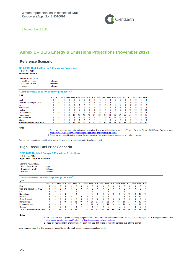

## <span id="page-24-0"></span>**Annex 1 – BEIS Energy & Emissions Projections (November 2017)**

#### **Reference Scenario**

#### **BEIS 2017 Updated Energy & Emissions Projections** v1.0 21-Nov-2017

**Reference Scenario** 

| Scenario Assumptions:     |           |
|---------------------------|-----------|
| <b>Fossil Fuel Prices</b> | Reference |
| <b>Economic Growth</b>    | Reference |
| <b>Policies</b>           | Reference |
|                           |           |

#### Cumulative new build for all power producers<sup>1.3</sup> GW

|                                   |   |   |    |    |    |    |                  |    |    |    | 2017 2018 2019 2020 2021 2022 2023 2024 2025 2026 2027 2028 2029 2030 2031 2032 2033 2034 2035 |    |    |    |    |    |    |    |     |
|-----------------------------------|---|---|----|----|----|----|------------------|----|----|----|------------------------------------------------------------------------------------------------|----|----|----|----|----|----|----|-----|
| Coal                              | 0 |   |    |    |    |    |                  |    |    |    |                                                                                                |    |    |    |    |    |    |    |     |
| Coal and natural gas CCS          | 0 |   |    |    |    |    |                  |    |    |    |                                                                                                |    |    |    |    |    |    |    |     |
| Oil                               | 0 |   |    |    |    |    |                  |    |    |    |                                                                                                |    |    |    |    |    |    |    |     |
| Natural gas                       | 0 |   |    |    | д  |    |                  |    | h  | ь  | 5                                                                                              | 5  | ь  | ь  | 6  | 6  | ь  | 6  | 6   |
| Nuclear                           | 0 |   |    | n  | ٥  | 0  |                  |    |    |    |                                                                                                | д. |    |    | 8  | 10 | 10 | 12 | 13  |
| <b>Other Thermal</b>              |   |   |    |    |    |    |                  |    |    |    |                                                                                                |    |    |    |    |    |    | 0  |     |
| Renewables                        |   |   |    | 10 | 12 | 15 | 16               | 19 |    | 22 | 25                                                                                             | 28 | 30 | 31 | 33 | 37 | 40 | 42 | 45  |
| Interconnectors                   | 0 |   |    |    |    | ь  | 10 <sup>10</sup> | 14 | 14 | 14 | 14                                                                                             | 14 | 14 | 14 | 14 | 14 | 14 | 14 | 15  |
| Storage                           | 0 |   |    |    |    |    |                  |    |    |    |                                                                                                |    |    |    | ь  |    |    | 8  | 8   |
| <b>Total cumulative new build</b> | 4 | 8 | 12 | 14 | 20 | 26 | 32               | 38 | 43 | 48 | 51                                                                                             | 56 | 61 | 63 | 68 | 74 | 79 | 84 | -91 |

**Notes** 

1 This covers all new capacity including autogeneration. The latter is defined as in section 1.33 and 1.34 of the Digest of UK Energy Statistics. See: https://www.gov.uk/government/collections/digest-of-uk-energy-statistics-dukes

2 These are net capacities after allowing for plant own use (but before allowing for derating, e.g. of wind plants).

Any enquiries regarding this publication should be sent to us at emissionsprojections@beis.gov.uk.

#### **High Fossil Fuel Price Scenario**

#### **BEIS 2017 Updated Energy & Emissions Projections** v1.0 21-Nov-2017

**High Fossil Fuel Price Scenario** 

| Scenario Assumptions:     |             |
|---------------------------|-------------|
| <b>Fossil Fuel Prices</b> | <b>High</b> |
| Economic Growth           | Reference   |
| Policies                  | Reference   |

#### Cumulative new build for all power producers<sup>1,2</sup>  $\sim$

| ww                         |      |   |    |    |    |    |          |    |    |    |    |     |    |    |    |    |    |    |                                                                                           |
|----------------------------|------|---|----|----|----|----|----------|----|----|----|----|-----|----|----|----|----|----|----|-------------------------------------------------------------------------------------------|
|                            | 2017 |   |    |    |    |    |          |    |    |    |    |     |    |    |    |    |    |    | 2018 2019 2020 2021 2022 2023 2024 2025 2026 2027 2028 2029 2030 2031 2032 2033 2034 2035 |
| Coal                       |      |   |    |    |    |    |          |    |    |    |    |     |    |    |    |    |    |    |                                                                                           |
| Coal and natural gas CCS   | 0    |   |    |    |    |    | 0        |    |    |    |    |     |    | 0  |    |    |    |    |                                                                                           |
| <b>Oil</b>                 | 0    |   |    |    |    |    |          |    |    |    |    |     |    |    |    |    |    |    |                                                                                           |
| Natural gas                | 0    |   |    |    |    |    |          |    | 5  | 9  | 9  | 9   | 9  | 9  | 9  | 10 | 10 | 10 | 10                                                                                        |
| Nuclear                    |      |   |    |    |    |    |          |    |    |    |    |     |    |    |    | 10 | 10 | 12 | 13                                                                                        |
| <b>Other Thermal</b>       | 0    |   |    |    |    |    | $\Omega$ |    |    |    |    |     |    |    |    |    |    |    |                                                                                           |
| Renewables                 |      |   | 8  | 10 | 12 | 15 | 16       | 19 | 21 | 23 | 25 | 28  | 30 | 31 | 34 | 37 | 40 | 42 | 46                                                                                        |
| Interconnectors            | 0    |   |    |    |    |    | 10       | 14 | 14 | 14 | 14 | 14  | 14 | 14 | 14 | 14 | 14 | 14 | 15                                                                                        |
| Storage                    | 0    |   |    |    |    |    |          |    |    |    |    |     |    | h  |    |    |    |    | 8                                                                                         |
| Total cumulative new build | 4    | 8 | 17 | 14 | 20 | 26 | 32       | 38 | 43 | 53 | 56 | -61 | 66 | 69 | 74 | 80 | 84 | 89 | 96                                                                                        |

**Notes** 

1 This covers all new capacity including autogeneration. The latter is defined as in section 1.33 and 1.34 of the Digest of UK Energy Statistics. See: https://www.gov.uk/government/collections/digest-of-uk-energy-statistics-dukes<br>2 These are net capacities after allowing for plant own use (but before allowing for derating, e.g. of wind plants).

Any enquiries regarding this publication should be sent to us at emissionsprojections@beis.gov.uk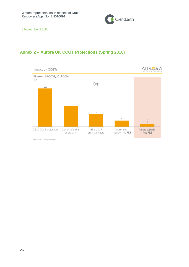

# <span id="page-25-0"></span>**Annex 2 – Aurora UK CCGT Projections (Spring 2018)**



Source: Aurora Energy Research